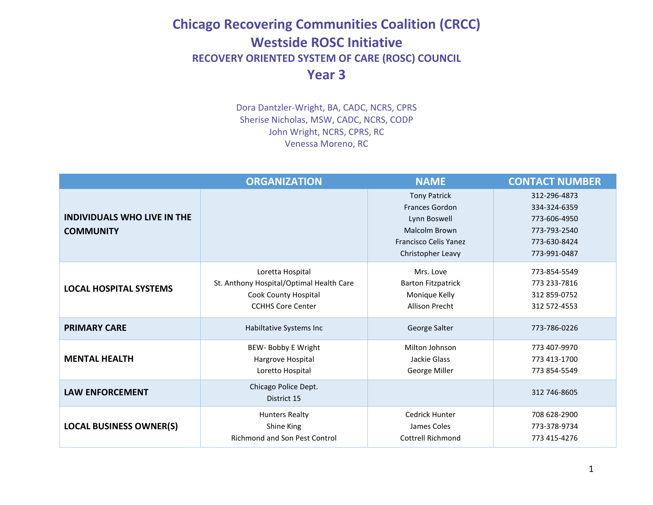## **Chicago Recovering Communities Coalition (CRCC) Westside ROSC Initiative RECOVERY ORIENTED SYSTEM OF CARE (ROSC) COUNCIL Year 3**

Dora Dantzler-Wright, BA, CADC, NCRS, CPRS Sherise Nicholas, MSW, CADC, NCRS, CODP John Wright, NCRS, CPRS, RC Venessa Moreno, RC

|                                                        | <b>ORGANIZATION</b>                                                                                              | <b>NAME</b>                                                                                                                        | <b>CONTACT NUMBER</b>                                                                        |
|--------------------------------------------------------|------------------------------------------------------------------------------------------------------------------|------------------------------------------------------------------------------------------------------------------------------------|----------------------------------------------------------------------------------------------|
| <b>INDIVIDUALS WHO LIVE IN THE</b><br><b>COMMUNITY</b> |                                                                                                                  | <b>Tony Patrick</b><br><b>Frances Gordon</b><br>Lynn Boswell<br>Malcolm Brown<br><b>Francisco Celis Yanez</b><br>Christopher Leavy | 312-296-4873<br>334-324-6359<br>773-606-4950<br>773-793-2540<br>773-630-8424<br>773-991-0487 |
| <b>LOCAL HOSPITAL SYSTEMS</b>                          | Loretta Hospital<br>St. Anthony Hospital/Optimal Health Care<br>Cook County Hospital<br><b>CCHHS Core Center</b> | Mrs. Love<br><b>Barton Fitzpatrick</b><br>Monique Kelly<br><b>Allison Precht</b>                                                   | 773-854-5549<br>773 233-7816<br>312 859-0752<br>312 572-4553                                 |
| <b>PRIMARY CARE</b>                                    | Habiltative Systems Inc                                                                                          | George Salter                                                                                                                      | 773-786-0226                                                                                 |
| <b>MENTAL HEALTH</b>                                   | BEW- Bobby E Wright<br>Hargrove Hospital<br>Loretto Hospital                                                     | Milton Johnson<br>Jackie Glass<br>George Miller                                                                                    | 773 407-9970<br>773 413-1700<br>773 854-5549                                                 |
| <b>LAW ENFORCEMENT</b>                                 | Chicago Police Dept.<br>District 15                                                                              |                                                                                                                                    | 312 746-8605                                                                                 |
| <b>LOCAL BUSINESS OWNER(S)</b>                         | <b>Hunters Realty</b><br>Shine King<br><b>Richmond and Son Pest Control</b>                                      | Cedrick Hunter<br>James Coles<br><b>Cottrell Richmond</b>                                                                          | 708 628-2900<br>773-378-9734<br>773 415-4276                                                 |